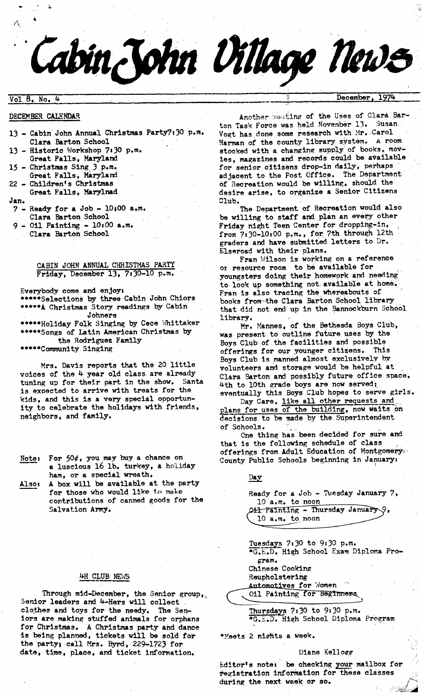# **:Vol 8. No.**

&

#### DECEMBER CALENDAR

- 13 Cabin John Annual Christmas Party?:30 p.m. Clara Barton School
- 13 Historic Workshop 7:30 p.m. Great Falls, Maryland
- 15 Christmas Sing 3 p.m. Great Falls, Maryland
- 22 Children's Christmas Great Falls, Marylnad
- Jan.
- $7$  Ready for a Job  $10:00$  a.m. Clara Barton School
- $9 01$  Painting  $10100$  a.m.
- Clara Barton School

# CABIN JOHN ANNUAL CHRISTMAS PARTY Friday, December 13, 7:30-10 p.m.

Everybody come and enjoy, \*\*\*\*\*Selections by three Cabin John Chiors \*\*\*\*\*A Christmas Story readings by Cabin Johners \*\*\*\*\*Holiday Folk Singing by Cece Whittaker \*\*\*\*\*Songs of Latin American Christmas by the Rodriguez Family \*\*\*\*\*Community Singing

Mrs. Davis reports that the 20 little voices of the  $4$  year old class are already tuning up for their part in the show. Santa is exoected to arrive with treats for the kids, and this is a very special opportunity to celebrate the holidays with friends, neighbors, and family.

- Note, For  $50¢$ , you may buy a chance on a luscious 16 lb. turkey, a holiday ham, or a special wreath.
- Also, A box will be available at the party for those who would like to make contributions of canned goods for the Salvation Army.

# .4H CLUB NEWS

Through mid-December, the Senior group, Senior leaders and 4-Hers will collect clothes and toys for the needy. The Seniors are making stuffed animals for orphans for Christmas. A Christmas party and dance is being planned, tickets will be sold for the party; call Mrs. Byrd, 229-1723 for date, time, place, and ticket information.

Another mesting of the Uses of Clara Barton Task Force was held November 13. Susan Vogt has done some research with Mr. Carol Harman of the county library system. A room stocked with a changing supply of books, movies, magazines and records could be available for senior citizens drop-in daily, perhaps adjacent to the Post office. The Department of Recreation would be willing, should the desire arise, to organize a Senior Citizens Club.

Cabin John Village News

The Department of Recreation would also be willing to staff and plan an every other Friday night Teen Center for dropplng-in, from 7:30-10:00 p.m., for 7th through 12th graders and have submitted letters to Dr. Elseroad with their plans.

Fran Nilson is working on a reference or resource room to be available for youngsters doing their homework and needing to look up something not available at home. Fran is also tracing the whereabouts of books from~the Clara Barton School library that did not end up in the Bannockburn School library.

Mr. Mannes, of the Bethesda Boys Club, was present to outline future uses by the Boys Club of the facilities and possible offerings for our younger citizens. This Boys Club is manned almost exclusively by volunteers and storage would be helpful at Clara Barton and possibly future office space. 4th to 10th grade boys are now served; eventually this Boys Club hopes to serve girls•

Day Care, like all other requests and plans for uses of the building, now waits on decisions to be made by the Superintendent of Schools.

One thing has been decided for sure and that is the following schedule of class offerings from Adult Education of Montgomery County Public Schools beginning in January,

 $Day$ Ready for a Job - Tuesday January  $7$ , IO a.m. to noon Oil Painting - Thursday January 10 a.m. to noon

Tuesdays 7,30 to 9,30 p.m. \*G.E.D. High School Exam Diploma Pro gram. Chinese Cooking Reupholstering<br>Automotives for Nomen 011 Painting for Beginners

Thursdays  $7.30$  to  $9.30$   $p.m.$ =G.S.D. High SChool Diploma Program

• Meets 2 nights a week.

# Diane Kellogg

Editor's note: be checking your mailbox for registration information for these classes during the next week or so.

# $\overline{\text{December}}$ , 1974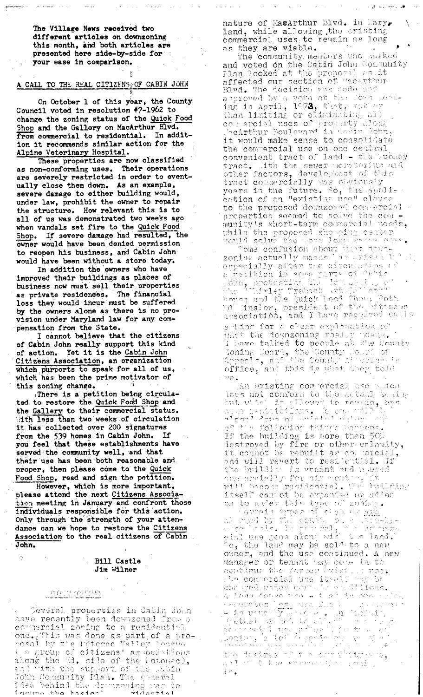The Village News received two different articles on downzoning this month, and both articles are presented here side-by-side for your ease in Comparison.

# A CALL TO THE REAL CITIZENS; OF CABIN JOHN

On October 1 of this year, the County Council voted in resolution  $*7-1962$  to change the zoning status of the Quick Food Shop and the Gallery on MacArthur Blvd. from commercial to residential. In addition it recommends similar action for the Alpine Veterinary Hospital.

These properties are now classified as non-conforming uses. Their operations are severely restricted in order to eventually close them down. As an example, severe damage to either building would, under law, prohibit the owner to repair the structure. How relevant this is to all of us was demonstrated two weeks ago when vandals set fire to the Quick Food Shop. If severe damage had resulted, the owner would have been denied permission to reopen his business, and Cabin John would have been without a store today,

In addition the owners who have improved their buildings as places of business now must sell their properties as private residences. The financial loss they would incur must be suffered by the owners alone as there is no provision under Maryland law for any com-Pensation from the State.

I cannot believe that the citizens of Cabin John really'support this kind of action. Yet it is the Cabin John Citizens Association, an organization which purports to speak for all of us, which has been the prime motivator of this zoning change.

~There is a petition being circulated to restore the Quick Food Shop and the Gallery to their commercial status. iith less than two weeks of circulation it has collected over 200 signatures from the 539 homes in Cabin John. If you feel that these establishments have served the community well, and that their use has been both reasonable and proper, then please come to the Quick Food Shop, read and sign the petition.

However, which is more important, please attend the next Citizens Association meeting in January and confront those individuals responsible for this action. Only through the strength of your attendance can we hope to rostore the Citizens Association to the real citizens of Cabin John.

#### Bill Castle Jim Wilner

# .<u>. DQ IM (CHNESS)</u>

 $\sim$  - Deveral properties in Cabin John have recently been downzoned from a commercial zoning to a residential **OD.~ .... . .~,\_i:7 1,1,~g .~O':7.e ~"; "~t Of ~ :.:.,i:~0 -**   $\neg$ oral lity the followed yatley (orang ( a group of citizens' as  $\operatorname{occ}$  and  $\operatorname{occ}$ along the 'd. sile of the lotome), and with the support of the labi John Community Plan. The gameral

nature of Ma $\alpha$ Arthur Elvd. in Mary. land, while allowing the eristing commercial uses to remain as long as they are viable.

The community, members who southed and voted on the Catin John (0.1.  $\sim$  $\texttt{Plan}$  looked at the proporal as  $\texttt{\small J}$ affected our section of "acarthur Blyd. The decision was sade and ansiowed by a vote at the come left inr: in Aori] ~ ...  $\texttt{U}_i$ :2)  $\pm 1.1$  . III  $\texttt{U1}$  or  $\pm 0.1$  ,  $\texttt{U1}$  ,  $\texttt{U2}$  ,  $\texttt{U1}$ **C**O I ercigi luses OF pithelity there . carthur moulevard in table leep, it would make sense to consolidate the commercial use on one central convenient tract of land - the Euchey  $\mathtt{track}_\bullet$  .1ith the sever noratorium and other factors, development of this tract commercially was ouviously years in the future. So, the application of an "evistiua use" claus to the proposed downzosed commercial properties seemed to solve the com  $m$ unity's  $s$ hort-term cormercial needs, vhile uhe proposed sao ping cease: ,'t:', ......

 $\cdot$ 'OM9 CONTUSTON SPOUG -LETE :{  $\cdot$  $\mathbb Z$ O,qi tqe $\mathbb Z$  is a constraint in a set of  $\mathbb Z$  . The set of the set of  $\mathbb Z$  is  $\mathbb Z$  . The set of  $\mathbb Z$ , L, t,., *fit ~" "'+* "} *"* 71 ~ *"* O~ i:' *1 q~= ~;(7* ".' ~] q C'). *,"~',* ' "[ ~ ""-'~, ...... ! ..... '..7" "~'7 **.** .:::'7." **..,** ~ **\_** ........... ~. ~ • : : :.~ **:i** ,. \_' " t. ;. " ' ' " **r, .T"."** '~ ~".'-,~ ~:'~ , n"lr] . .- hJiG ,!., ..~,i.e.~.., ......~ ~ !: t I . "- .~.' -~ ~ .r,,..!. "~ ~" ; .:,.-:I-:-.. ....... :: ,"~ .., :.i.J~S] r,~-.~ .. **.** r).Te ~J.Q.,. **"l .L** ~ c;f' ~-" ,., .~ ,", ". '.', -/ "t, '- -{ X.C: **"** ".t,, <~ Association, and I have recoived calls arking for a clear explanation of  $\min^*$  the doynzoning real y means. 1 have talked to peorle at the County

.~ \_...:..r,<q ~ ,...~ .L.. ~, *("C ]1"7'<:* < -! ..... , ..... u,.~...,.. ; ,.:. office, and this is what they told  $\overline{m} \overline{c}$  . .-Lt"..r-:.'..<j. sl~i!~.' eo;q e~cJ..?.].. L:.,::o '.-....:).c.,~

loes not conform to the actual zerra $\gamma$ 7.. .L. .I .- !"~ fit r, ; ..j.~. ~... -~ --.' j. ,; :: T [', ¢,~..;,:, .:t i:c, Tin-,'.', :', i p. t - ............ : : .... .. ......... . . .. ). .,.. ,. " ..,- ;,.., . LC ....... .:".• "" C.":,' :~.] n di t e joleovlas tupss hoped if the Pullding is more than 5G. destroyed by fire or other calaaity, it comhot be rebuilt as compercial, and will revert to resilential. If  $i$  ie  $\cdots$   $i$  . In  $\cdots$  ,  $i$  is vectors  $\cdots$  and  $\cdots$  .  $i$  seed 105 - 2001 1917 I .... 101 101 101 101 ... i,~4 7 7 l",,',,',~ ":O ","c, ,..'i "~,'.~',':-~ <.~] • '"!,. l'-'~'i 7 ,~ i ,',...' itself contot be orpanded of added OJI (0) UPUCRIT UDJES UZOO (). 2011.09.

' c}7~b::, i : 1," ', a, d, c. (I. e. ) ..\_i: ,""..','.~<] ,-..; ......... c.' ::, . .: :.~ : :~-..:.:, .-. " ,'r' - .... 71 ~, ].-, ........ , ...... ,7 ..... "'" ....... !"":':'- ..; -; ,-~ l~ ,q<:, "" r":O :4" qJ *t..:;.'"* :,.,-i -i- .[, ...:\_7 ] .~i!.').<{" . "o, the land may be sold to a new owner, and the use continued. A new  ${\tt namever}$  or tenant way cove in to. ., .: ;-. ..... i..7 ::i f2! . ...~.. , l ......... ' ' " : : :! {, :L ,". ".". *<:' .* , . . . ........ , . . ,, . , ., . -. ,:')":!:',!~i:,r .;~ ,:~7 . .::.:. /'..:/: ~ . . .,.. i; **",<".:' ;'7(. '** .... ~'~"']. **] ~.** ~"' ':" """:.'- ": "' "', ,. ,""" ;C,'",'i "~ " t, .7 '(.C' ': ':" : "C'"7' ..... .--. :... .... " ., " ~"':-"- ..... ,7; :':. " .... " " ." -: .': ,,.. ..... . - j . ., -i-'.;', '!~"~'::-T'~:'.'7 '' ', .... ' :?;. "U" "" :.,.. -' ..'~ . ., I "" 'I" ": ;C:' c'~'7"'~"r,"" " :" .... ' ""'~'!  $j \sim$  .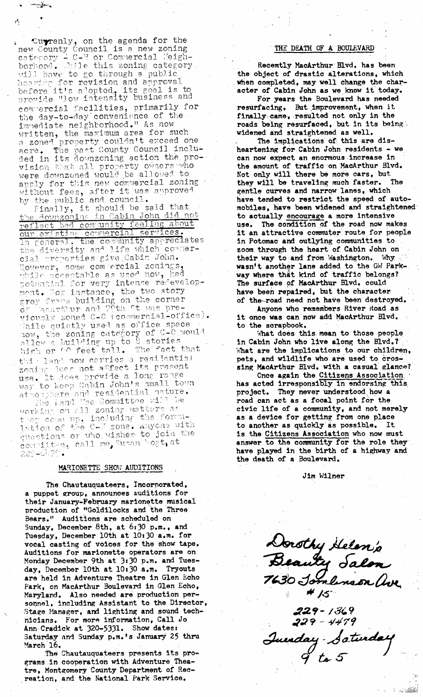Currenly, on the agenda for the<br>new County Council is a new zoning<br>category  $\div$  C-V or Commercial Meigh-<br>borhood. Mule this zoning category will have to go through a public hearing for revision and approval before it's adopted, its goal is to provide "low intensity business and commercial facilities, primarily for<br>the day-to-day convenience of the<br>immediate neighborhood." As now written, the maximum area for such a zonad property couldn't exceed one acre. The past County Council included in its downzoning action the provision that all property owners who were downzoned would be allowed to apply for this new commercial zoning without fees, after it was approved by the public and council.

by the public and council.<br>Finally, it should be said that<br>the downzoning in Cabin John did not<br>reflect bad community feeling about<br>our existing commercial services.<br>In general, the community appreciates<br>the diversity and cial properties give Cabin John. However, some competial zonings,<br>while acceptable as used now, had<br>potential for very intense redevelop-<br>ment. For instance, the two story grey frame building on the corner<br>of Tacarthur and 79th <sup>et</sup> was pre-<br>viously zoned C-0 (cosmercial-office). While quietly used as office space now, the zoning category of C-C would high or GO feet tail. The fact that this land now carries a residential zoning does not affect its present<br>use. It does provide a long range<br>way to keep Gabin John's small town atmosphere and residential nature.

working on all zoning matters as they come up, including the formuquestions or who wishes to join the compituos, call me, Susan bogt, at 229-0470.

#### MARIONETTE SHOW AUDITIONS

The Chautauquateers, Incorporated, a puppet group, announces auditions for their January-February marionette musical production of "Goldilocks and the Three Bears." Auditions are scheduled on Sunday, December 8th, at 6:30 p.m., and Tuesday, December 10th at 10:30 a.m. for vocal casting of voices for the show tape. Auditions for marionette operators are on Monday December 9th at 3:30 p.m. and Tuesday, December 10th at 10:30 a.m. Tryouts are held in Adventure Theatre in Glen Echo Park, on MacArthur Boulevard in Glen Echo, Maryland. Also needed are production personnel, including Assistant to the Director, Stage Manager, and lighting and sound technicians. For more information, Call Jo Ann Cradick at 320-5331. Show dates: Saturday and Sunday p.m.'s January 25 thru March 16.

The Chautauquateers presents its programs in cooperation with Adventure Theatre, Montgomery County Department of Recreation, and the National Park Service.

#### THE DEATH OF A BOULEVARD

Recemtly MacArthur Blvd. has been<br>the object of drastic alterations, which when completed, may well change the character of Cabin John as we know it today.

For years the Boulevard has needed resurfacing. But improvement, when it finally came, resulted not only in the roads being resurfaced, but in its being. widened and straightened as well.

The implications of this are disheartening for Cabin John residents - we can now expect an enormous increase in the amount of traffic on MacArthur Blvd. Not only will there be more cars, but they will be traveling much faster. The gentle curves and narrow lanes, which have tended to restrict the speed of automobiles, have been widened and straightened to actually encourage a more intensive The condition of the road now makes use. it an attractive commuter route for people in Potomac and outlying communities to zoom through the heart of Cabin John on their way to and from Washington. Why wasn't another lane added to the GW Parkway where that kind of traffic belongs? The surface of MacArthur Blvd. could have been repaired, but the character of the road need not have been destroyed.

Anyone who remembers River Road as it once was can now add MacArthur Blvd. to the scrapbook.

What does this mean to those people in Cabin John who live along the Blvd.? What are the implications to our children, pets, and wildlife who are used to crossing MacArthur Blvd. with a casual glance?

Once again the Citizens Association has acted irresponsibly in endorsing this project. They never understood how a road can act as a focal point for the civic life of a community, and not merely as a device for getting from one place to another as quickly as possible. It is the Citizens Association who now must answer to the community for the role they have played in the birth of a highway and the death of a Boulevard.

Jim Wilner

Dorothy Helen's<br>Beauty Salon<br>7630 Jomlinson ave \* 15

229 – 1369<br>229 – 4479 Inexday Saturday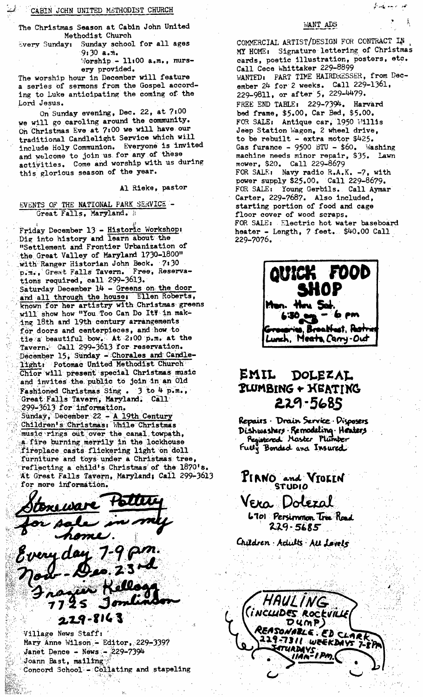#### CABIN JOHN UNITED METHODIST CHURCH

The Christmas Season at Cabin John United Methodist Church

Every Sunday: Sunday school for all ages  $9:30$  a.m.

 $\text{Worship} - 11,00$  a.m., nursery provided.

The worship hour in December will feature a series of sermons from the Gospel according to Luke anticipating the coming of the Lord Jesus.

On Sunday evening, Dec. 22, at 7:00 we will go caroling around the community. on Christmas Eve at 7,00 we will have. our traditional Candlelight Service which will include Holy Communion. Everyone is invited and welcome to join us for any of these activities. Come and worship with us during this glorious season of the year.

AI Rieke, pastor

# EVENTS OF THE NATIONAL PARK SERVICE -Great Falls, Maryland. .

Friday December 13 - Historic Workshop: Dig into history and learn about the , "Settlement and Frontier Urbanization of the Great Valley of Maryland 1730-1800" ~ with"Ranger Historian John Beck. 7' 30 p.m., Great Falls Tavern. Free, Reservations required, call 299-3613. Saturday December 14 - Greens on the door and all through the house. Ellen Roberts, known for her artistry with Christmas greens will show how "You Too Can Do Ity in making 18th and 19th century arrangements for doors and centerpieces, and how to tie a beautiful bow. At 2,00 p.m. at the Tavern. Call 299-3613 for reservation. December 15, Sunday - Chorales and Candlelight: Potomac United Methodist Church Chior will present special Christmas music and invites the public to join in an Old  $F$ ashioned Christmas Sing .  $3$  to 4  $p$ .m.,  $:$   $\cdot$  Great Falls Tavern, Maryland. Call  $-$ 299-3613 for information. Sunday, December 22 - A 19th Century Children's Christmas: While Christmas music rings out over the canal towpath, a fire burning merrily in the lockhouse fireplace casts flickering light on doll furniture and toys under a Christmas tree, reflecting a child's Christmas of the 1870's. At Great Falls Tavern, Maryland; Call 299-3613 for more information.



Mary Anne Wilson - Editor. 229-3397 Janet Dence - News -  $229-7394$ Joann Bast, mailing  $Concord~Schoo1 - Collating and stappling$ 

### WANT ADS

هم المنها المحمد في

COMMERCIAL ARTIST/DESIGN FOR CONTRACT IN • MY HOHEt Signature lettering of Christmas cards, poetic illustration, posters, etc. Call Cece Whittaker 229-8899 WANTED: PART TIME HAIRDRESSER, from December 24 for 2 weeks. Call 229-1301, 229-9811, or after 5, 229-4479. FREE END TABLE: 229-7394. Harvard bed frame, \$5.00, Car Bed, \$5.00. FOR SALE: Antique car,  $1950$   $W1111s$ Jeep Station Wagon, 2 wheel drive, to be rebuilt - extra motor \$425. Gas furance - 9500 BTU -  $$60.$  Washing machine needs minor repair, \$35. Lawn mower, \$20. Call 229-8679  $FOR SALE:$  Navy radio  $R.A.K. -7$ , with power supply \$25.00. Call 229-8679. FOR SALE: Young Gerbils. Call Aymar Carter, 229-7687. Also included, starting portion of food and cage floor cover of wood scraps. FOR SALE: Electric hot water baseboard heater - Length, 7 feet. \$40.00 Call 229-7076.



# **.El'Ill., Douz.z^**   $P$ **LUMBING + KEATING** *z .e -5 sS <sup>L</sup>*

Repairs Drain Service Disposers Dishwashers Remodeling Heaters<br>Registered Moster Plumber<br>Fully Bondad and Insured

**PIRNO** and **VIOLIN** 

Vera Dolezal

6701 Persimmon Tree Road  $229 - 5685$ 

Children Adults All Levels

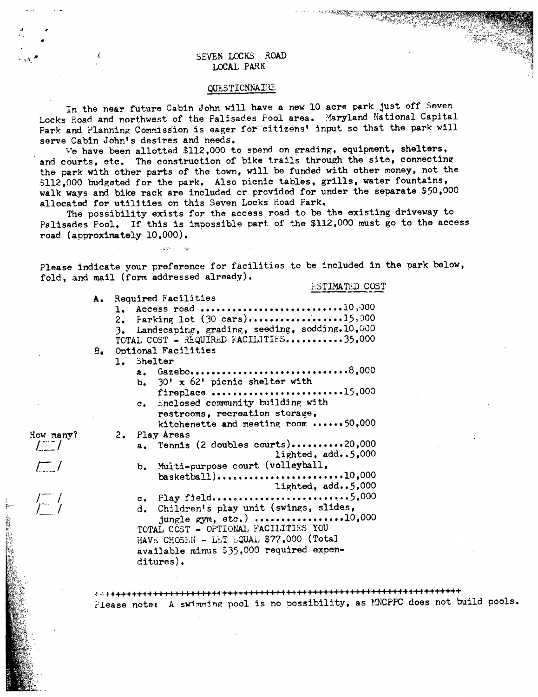#### :. ~.~ **sEv~ LOCKS ROAD**  LOCAL PARK

#### QUESTIONNAIRE

In the near future Cabin John will have a new 10 acre park just off Seven Locks Road and northwest of the Palisades Pool area. Maryland National Capital Park and Planning Commission is eager for citizens' input so that the park will serve Cabin John's desires and needs.

We have been allotted  $$112,000$  to spend on grading, equipment, shelters, and courts, etc. The construction of bike trails through the site, connecting the park with other parts of the town, will be funded with other money, not the 5112,000 budgeted for the park. Also picnic tables, grills, water fountains, walk ways and bike rack are included or provided for under the separate \$50,O00 allocated for utilities on this Seven Locks Road Park.

The possibility exists for the access road to be the existing driveway to Palisades Pool. If this is impossible part of the \$112,000 must go to the access road (approximately i0,000).

Please indicate your preference for facilities to be included in the park below, fold, and mail (form addressed already).

A. Required Facilities

a como a

How many?  $\int_0^\infty$ 

 $\sqrt{\frac{1}{r}}$ 

 $\mathcal{L}$ 

#### ASTIMATED COST

1. Access road ..............................10,000 2. Parking lot  $(30 \text{ cars})$ ...................15.000 3. Landscaping, grading, seeding, sodding.10,000 TOTAL COST - REQUIRED FACILITIES...........35,000 B. Optional Facilities 1. Shelter a. Gazebo................................8,000 b.  $30' \times 62'$  picnic shelter with fireplace ......................... 15,000 c. Enclosed community building with restrooms, recreation storage, kitchenette and meeting room  $\cdots \cdots$  50,000 2. Flay Areas a. Tennis (2 doubles courts) .......... 20,000 lighted, add.. 5,000 b. Multi-purpose court (volleyball, basketball) ......... • ........... . .. i0,000 lighted, add.. 5,O00  $c.$  Play field.............................5,000 d. Children's play unit (swings, slides, jungle gym, etc.)  $\cdots$ ..............10,000 TOTAL COST - OPTIONAL FACILITIES YOU HAVE CHOSEN - LET  $\text{LQUAL}$  \$77,000 (Total available minus \$35,000 required expenditures).

**+,4++++++\*, : : ~ : ~: : ~ H+~+++~ 4 : : : : : : :+.+4 ~ 0 : : : : : : : : : :: : :** :~. ~ +~+\*+++++++ Please note: A swimming pool is no possibility, as MNCPPC does not build pools.